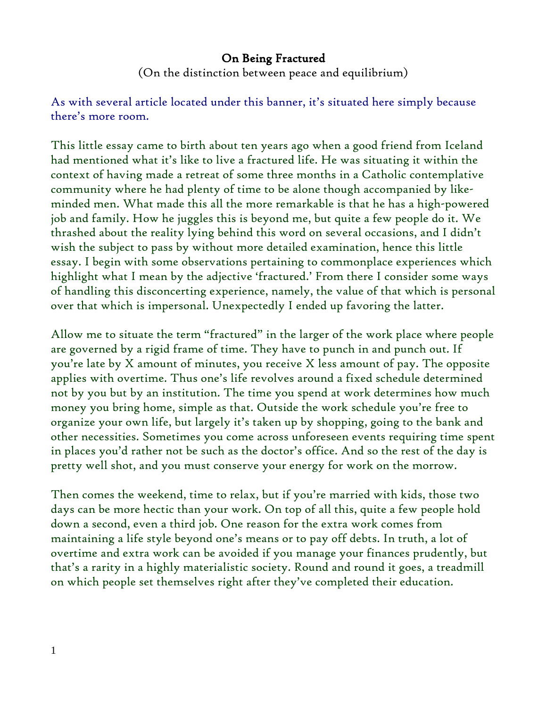## On Being Fractured

(On the distinction between peace and equilibrium)

As with several article located under this banner, it's situated here simply because there's more room.

This little essay came to birth about ten years ago when a good friend from Iceland had mentioned what it's like to live a fractured life. He was situating it within the context of having made a retreat of some three months in a Catholic contemplative community where he had plenty of time to be alone though accompanied by likeminded men. What made this all the more remarkable is that he has a high-powered job and family. How he juggles this is beyond me, but quite a few people do it. We thrashed about the reality lying behind this word on several occasions, and I didn't wish the subject to pass by without more detailed examination, hence this little essay. I begin with some observations pertaining to commonplace experiences which highlight what I mean by the adjective 'fractured.' From there I consider some ways of handling this disconcerting experience, namely, the value of that which is personal over that which is impersonal. Unexpectedly I ended up favoring the latter.

Allow me to situate the term "fractured" in the larger of the work place where people are governed by a rigid frame of time. They have to punch in and punch out. If you're late by X amount of minutes, you receive X less amount of pay. The opposite applies with overtime. Thus one's life revolves around a fixed schedule determined not by you but by an institution. The time you spend at work determines how much money you bring home, simple as that. Outside the work schedule you're free to organize your own life, but largely it's taken up by shopping, going to the bank and other necessities. Sometimes you come across unforeseen events requiring time spent in places you'd rather not be such as the doctor's office. And so the rest of the day is pretty well shot, and you must conserve your energy for work on the morrow.

Then comes the weekend, time to relax, but if you're married with kids, those two days can be more hectic than your work. On top of all this, quite a few people hold down a second, even a third job. One reason for the extra work comes from maintaining a life style beyond one's means or to pay off debts. In truth, a lot of overtime and extra work can be avoided if you manage your finances prudently, but that's a rarity in a highly materialistic society. Round and round it goes, a treadmill on which people set themselves right after they've completed their education.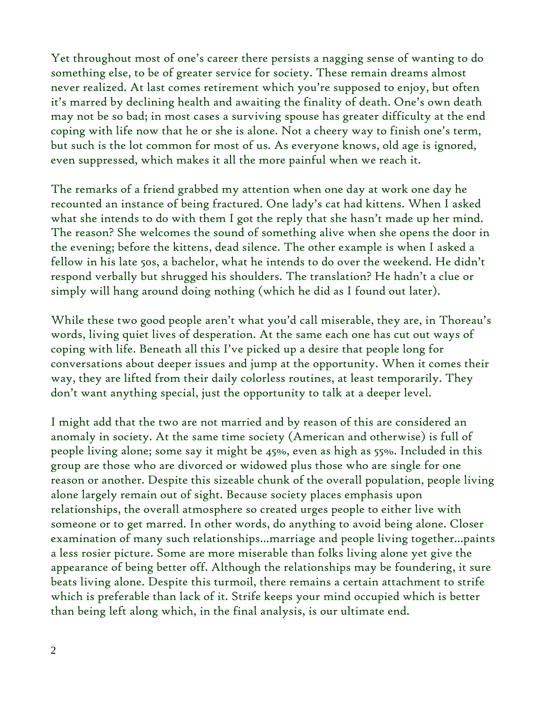Yet throughout most of one's career there persists a nagging sense of wanting to do something else, to be of greater service for society. These remain dreams almost never realized. At last comes retirement which you're supposed to enjoy, but often it's marred by declining health and awaiting the finality of death. One's own death may not be so bad; in most cases a surviving spouse has greater difficulty at the end coping with life now that he or she is alone. Not a cheery way to finish one's term, but such is the lot common for most of us. As everyone knows, old age is ignored, even suppressed, which makes it all the more painful when we reach it.

The remarks of a friend grabbed my attention when one day at work one day he recounted an instance of being fractured. One lady's cat had kittens. When I asked what she intends to do with them I got the reply that she hasn't made up her mind. The reason? She welcomes the sound of something alive when she opens the door in the evening; before the kittens, dead silence. The other example is when I asked a fellow in his late 50s, a bachelor, what he intends to do over the weekend. He didn't respond verbally but shrugged his shoulders. The translation? He hadn't a clue or simply will hang around doing nothing (which he did as I found out later).

While these two good people aren't what you'd call miserable, they are, in Thoreau's words, living quiet lives of desperation. At the same each one has cut out ways of coping with life. Beneath all this I've picked up a desire that people long for conversations about deeper issues and jump at the opportunity. When it comes their way, they are lifted from their daily colorless routines, at least temporarily. They don't want anything special, just the opportunity to talk at a deeper level.

I might add that the two are not married and by reason of this are considered an anomaly in society. At the same time society (American and otherwise) is full of people living alone; some say it might be 45%, even as high as 55%. Included in this group are those who are divorced or widowed plus those who are single for one reason or another. Despite this sizeable chunk of the overall population, people living alone largely remain out of sight. Because society places emphasis upon relationships, the overall atmosphere so created urges people to either live with someone or to get marred. In other words, do anything to avoid being alone. Closer examination of many such relationships...marriage and people living together...paints a less rosier picture. Some are more miserable than folks living alone yet give the appearance of being better off. Although the relationships may be foundering, it sure beats living alone. Despite this turmoil, there remains a certain attachment to strife which is preferable than lack of it. Strife keeps your mind occupied which is better than being left along which, in the final analysis, is our ultimate end.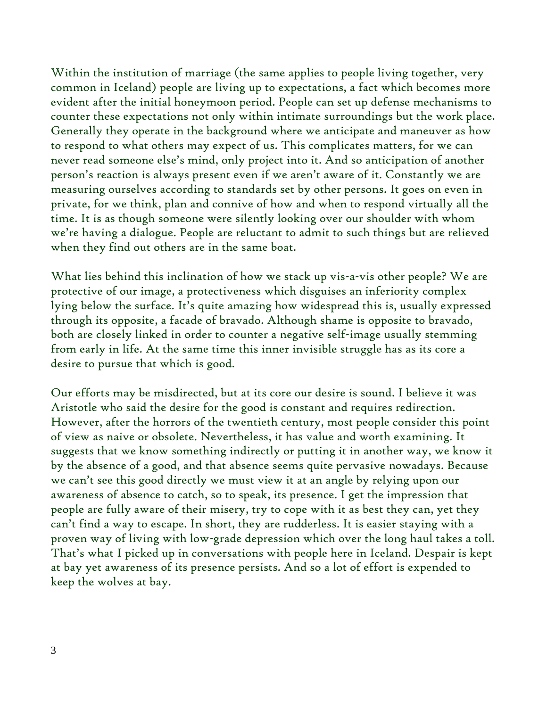Within the institution of marriage (the same applies to people living together, very common in Iceland) people are living up to expectations, a fact which becomes more evident after the initial honeymoon period. People can set up defense mechanisms to counter these expectations not only within intimate surroundings but the work place. Generally they operate in the background where we anticipate and maneuver as how to respond to what others may expect of us. This complicates matters, for we can never read someone else's mind, only project into it. And so anticipation of another person's reaction is always present even if we aren't aware of it. Constantly we are measuring ourselves according to standards set by other persons. It goes on even in private, for we think, plan and connive of how and when to respond virtually all the time. It is as though someone were silently looking over our shoulder with whom we're having a dialogue. People are reluctant to admit to such things but are relieved when they find out others are in the same boat.

What lies behind this inclination of how we stack up vis-a-vis other people? We are protective of our image, a protectiveness which disguises an inferiority complex lying below the surface. It's quite amazing how widespread this is, usually expressed through its opposite, a facade of bravado. Although shame is opposite to bravado, both are closely linked in order to counter a negative self-image usually stemming from early in life. At the same time this inner invisible struggle has as its core a desire to pursue that which is good.

Our efforts may be misdirected, but at its core our desire is sound. I believe it was Aristotle who said the desire for the good is constant and requires redirection. However, after the horrors of the twentieth century, most people consider this point of view as naive or obsolete. Nevertheless, it has value and worth examining. It suggests that we know something indirectly or putting it in another way, we know it by the absence of a good, and that absence seems quite pervasive nowadays. Because we can't see this good directly we must view it at an angle by relying upon our awareness of absence to catch, so to speak, its presence. I get the impression that people are fully aware of their misery, try to cope with it as best they can, yet they can't find a way to escape. In short, they are rudderless. It is easier staying with a proven way of living with low-grade depression which over the long haul takes a toll. That's what I picked up in conversations with people here in Iceland. Despair is kept at bay yet awareness of its presence persists. And so a lot of effort is expended to keep the wolves at bay.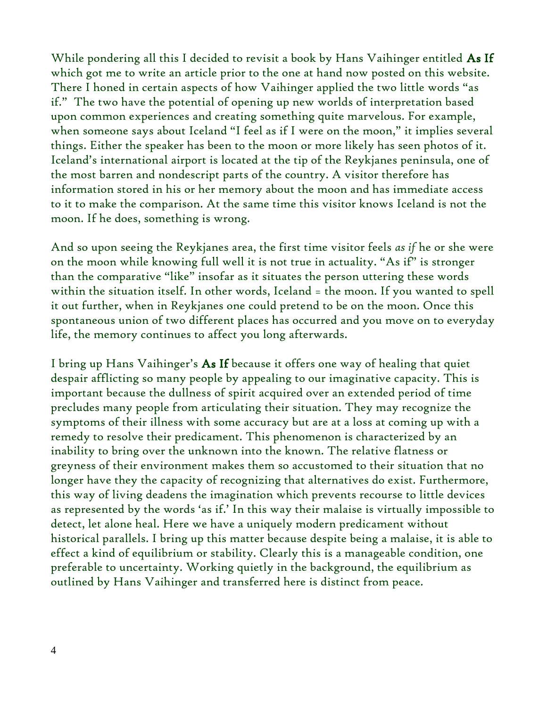While pondering all this I decided to revisit a book by Hans Vaihinger entitled As If which got me to write an article prior to the one at hand now posted on this website. There I honed in certain aspects of how Vaihinger applied the two little words "as if." The two have the potential of opening up new worlds of interpretation based upon common experiences and creating something quite marvelous. For example, when someone says about Iceland "I feel as if I were on the moon," it implies several things. Either the speaker has been to the moon or more likely has seen photos of it. Iceland's international airport is located at the tip of the Reykjanes peninsula, one of the most barren and nondescript parts of the country. A visitor therefore has information stored in his or her memory about the moon and has immediate access to it to make the comparison. At the same time this visitor knows Iceland is not the moon. If he does, something is wrong.

And so upon seeing the Reykjanes area, the first time visitor feels *as if* he or she were on the moon while knowing full well it is not true in actuality. "As if" is stronger than the comparative "like" insofar as it situates the person uttering these words within the situation itself. In other words, Iceland = the moon. If you wanted to spell it out further, when in Reykjanes one could pretend to be on the moon. Once this spontaneous union of two different places has occurred and you move on to everyday life, the memory continues to affect you long afterwards.

I bring up Hans Vaihinger's As If because it offers one way of healing that quiet despair afflicting so many people by appealing to our imaginative capacity. This is important because the dullness of spirit acquired over an extended period of time precludes many people from articulating their situation. They may recognize the symptoms of their illness with some accuracy but are at a loss at coming up with a remedy to resolve their predicament. This phenomenon is characterized by an inability to bring over the unknown into the known. The relative flatness or greyness of their environment makes them so accustomed to their situation that no longer have they the capacity of recognizing that alternatives do exist. Furthermore, this way of living deadens the imagination which prevents recourse to little devices as represented by the words 'as if.' In this way their malaise is virtually impossible to detect, let alone heal. Here we have a uniquely modern predicament without historical parallels. I bring up this matter because despite being a malaise, it is able to effect a kind of equilibrium or stability. Clearly this is a manageable condition, one preferable to uncertainty. Working quietly in the background, the equilibrium as outlined by Hans Vaihinger and transferred here is distinct from peace.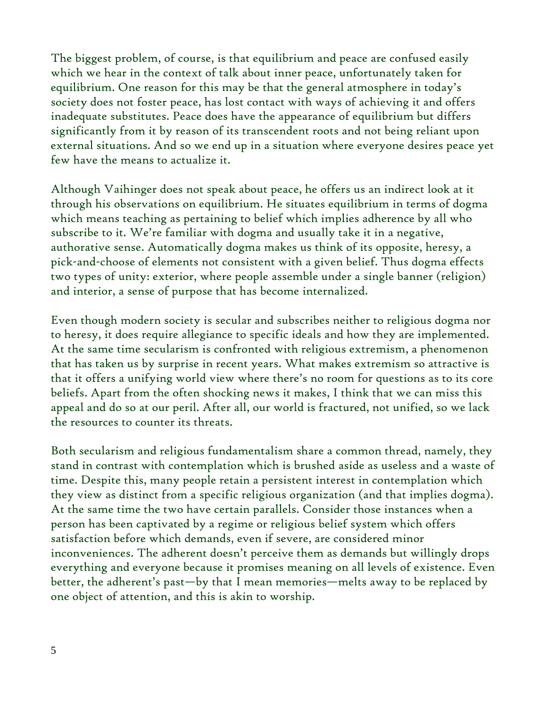The biggest problem, of course, is that equilibrium and peace are confused easily which we hear in the context of talk about inner peace, unfortunately taken for equilibrium. One reason for this may be that the general atmosphere in today's society does not foster peace, has lost contact with ways of achieving it and offers inadequate substitutes. Peace does have the appearance of equilibrium but differs significantly from it by reason of its transcendent roots and not being reliant upon external situations. And so we end up in a situation where everyone desires peace yet few have the means to actualize it.

Although Vaihinger does not speak about peace, he offers us an indirect look at it through his observations on equilibrium. He situates equilibrium in terms of dogma which means teaching as pertaining to belief which implies adherence by all who subscribe to it. We're familiar with dogma and usually take it in a negative, authorative sense. Automatically dogma makes us think of its opposite, heresy, a pick-and-choose of elements not consistent with a given belief. Thus dogma effects two types of unity: exterior, where people assemble under a single banner (religion) and interior, a sense of purpose that has become internalized.

Even though modern society is secular and subscribes neither to religious dogma nor to heresy, it does require allegiance to specific ideals and how they are implemented. At the same time secularism is confronted with religious extremism, a phenomenon that has taken us by surprise in recent years. What makes extremism so attractive is that it offers a unifying world view where there's no room for questions as to its core beliefs. Apart from the often shocking news it makes, I think that we can miss this appeal and do so at our peril. After all, our world is fractured, not unified, so we lack the resources to counter its threats.

Both secularism and religious fundamentalism share a common thread, namely, they stand in contrast with contemplation which is brushed aside as useless and a waste of time. Despite this, many people retain a persistent interest in contemplation which they view as distinct from a specific religious organization (and that implies dogma). At the same time the two have certain parallels. Consider those instances when a person has been captivated by a regime or religious belief system which offers satisfaction before which demands, even if severe, are considered minor inconveniences. The adherent doesn't perceive them as demands but willingly drops everything and everyone because it promises meaning on all levels of existence. Even better, the adherent's past—by that I mean memories—melts away to be replaced by one object of attention, and this is akin to worship.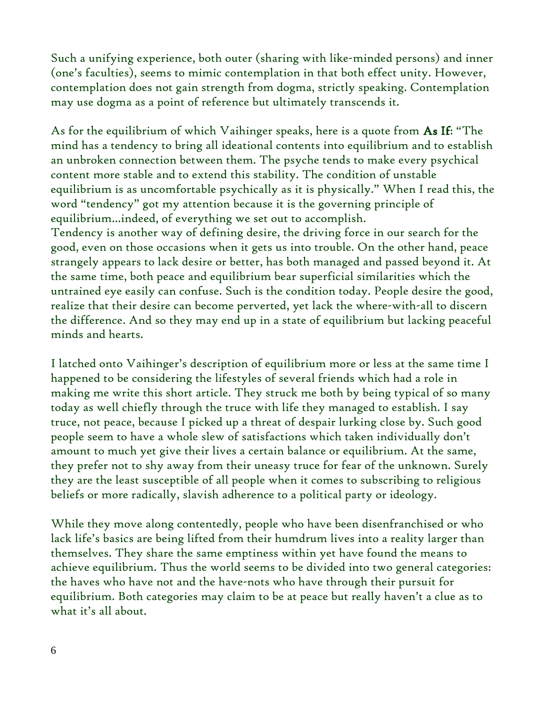Such a unifying experience, both outer (sharing with like-minded persons) and inner (one's faculties), seems to mimic contemplation in that both effect unity. However, contemplation does not gain strength from dogma, strictly speaking. Contemplation may use dogma as a point of reference but ultimately transcends it.

As for the equilibrium of which Vaihinger speaks, here is a quote from As If: "The mind has a tendency to bring all ideational contents into equilibrium and to establish an unbroken connection between them. The psyche tends to make every psychical content more stable and to extend this stability. The condition of unstable equilibrium is as uncomfortable psychically as it is physically." When I read this, the word "tendency" got my attention because it is the governing principle of equilibrium...indeed, of everything we set out to accomplish. Tendency is another way of defining desire, the driving force in our search for the good, even on those occasions when it gets us into trouble. On the other hand, peace strangely appears to lack desire or better, has both managed and passed beyond it. At the same time, both peace and equilibrium bear superficial similarities which the untrained eye easily can confuse. Such is the condition today. People desire the good, realize that their desire can become perverted, yet lack the where-with-all to discern the difference. And so they may end up in a state of equilibrium but lacking peaceful minds and hearts.

I latched onto Vaihinger's description of equilibrium more or less at the same time I happened to be considering the lifestyles of several friends which had a role in making me write this short article. They struck me both by being typical of so many today as well chiefly through the truce with life they managed to establish. I say truce, not peace, because I picked up a threat of despair lurking close by. Such good people seem to have a whole slew of satisfactions which taken individually don't amount to much yet give their lives a certain balance or equilibrium. At the same, they prefer not to shy away from their uneasy truce for fear of the unknown. Surely they are the least susceptible of all people when it comes to subscribing to religious beliefs or more radically, slavish adherence to a political party or ideology.

While they move along contentedly, people who have been disenfranchised or who lack life's basics are being lifted from their humdrum lives into a reality larger than themselves. They share the same emptiness within yet have found the means to achieve equilibrium. Thus the world seems to be divided into two general categories: the haves who have not and the have-nots who have through their pursuit for equilibrium. Both categories may claim to be at peace but really haven't a clue as to what it's all about.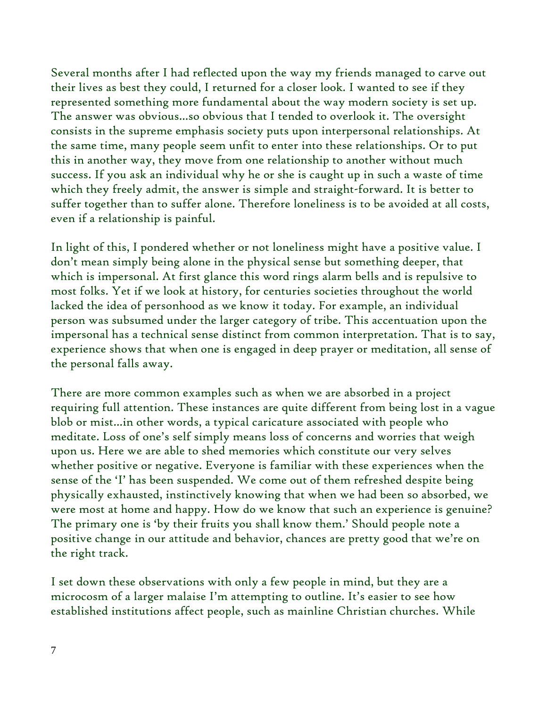Several months after I had reflected upon the way my friends managed to carve out their lives as best they could, I returned for a closer look. I wanted to see if they represented something more fundamental about the way modern society is set up. The answer was obvious...so obvious that I tended to overlook it. The oversight consists in the supreme emphasis society puts upon interpersonal relationships. At the same time, many people seem unfit to enter into these relationships. Or to put this in another way, they move from one relationship to another without much success. If you ask an individual why he or she is caught up in such a waste of time which they freely admit, the answer is simple and straight-forward. It is better to suffer together than to suffer alone. Therefore loneliness is to be avoided at all costs, even if a relationship is painful.

In light of this, I pondered whether or not loneliness might have a positive value. I don't mean simply being alone in the physical sense but something deeper, that which is impersonal. At first glance this word rings alarm bells and is repulsive to most folks. Yet if we look at history, for centuries societies throughout the world lacked the idea of personhood as we know it today. For example, an individual person was subsumed under the larger category of tribe. This accentuation upon the impersonal has a technical sense distinct from common interpretation. That is to say, experience shows that when one is engaged in deep prayer or meditation, all sense of the personal falls away.

There are more common examples such as when we are absorbed in a project requiring full attention. These instances are quite different from being lost in a vague blob or mist...in other words, a typical caricature associated with people who meditate. Loss of one's self simply means loss of concerns and worries that weigh upon us. Here we are able to shed memories which constitute our very selves whether positive or negative. Everyone is familiar with these experiences when the sense of the 'I' has been suspended. We come out of them refreshed despite being physically exhausted, instinctively knowing that when we had been so absorbed, we were most at home and happy. How do we know that such an experience is genuine? The primary one is 'by their fruits you shall know them.' Should people note a positive change in our attitude and behavior, chances are pretty good that we're on the right track.

I set down these observations with only a few people in mind, but they are a microcosm of a larger malaise I'm attempting to outline. It's easier to see how established institutions affect people, such as mainline Christian churches. While